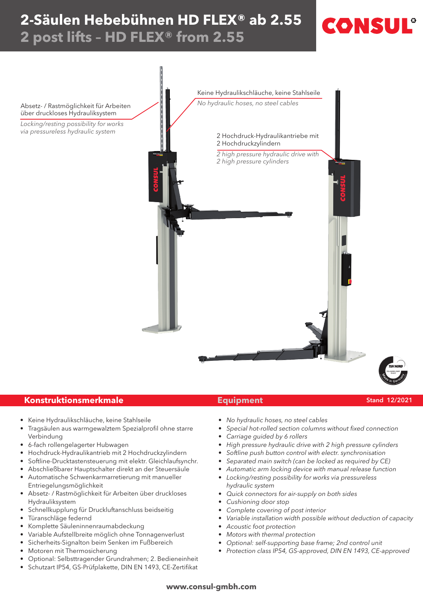# **2-Säulen Hebebühnen HD Flex® ab 2.55 2 post lifts – HD Flex® from 2.55**



# **Konstruktionsmerkmale Equipment**

- Keine Hydraulikschläuche, keine Stahlseile
- Tragsäulen aus warmgewalztem Spezialprofil ohne starre Verbindung
- 6-fach rollengelagerter Hubwagen
- Hochdruck-Hydraulikantrieb mit 2 Hochdruckzylindern
- Softline-Drucktastensteuerung mit elektr. Gleichlaufsynchr.
- Abschließbarer Hauptschalter direkt an der Steuersäule
- Automatische Schwenkarmarretierung mit manueller Entriegelungsmöglichkeit
- Absetz- / Rastmöglichkeit für Arbeiten über druckloses Hydrauliksystem
- Schnellkupplung für Druckluftanschluss beidseitig
- Türanschläge federnd
- Komplette Säuleninnenraumabdeckung
- Variable Aufstellbreite möglich ohne Tonnagenverlust
- Sicherheits-Signalton beim Senken im Fußbereich
- Motoren mit Thermosicherung
- Optional: Selbsttragender Grundrahmen; 2. Bedieneinheit
- Schutzart IP54, GS-Prüfplakette, DIN EN 1493, CE-Zertifikat

### Stand 12/2021

CONSU

- No hydraulic hoses, no steel cables
- Special hot-rolled section columns without fixed connection
- Carriage guided by 6 rollers
- High pressure hydraulic drive with 2 high pressure cylinders
- Softline push button control with electr. synchronisation
- Separated main switch (can be locked as required by CE)
- Automatic arm locking device with manual release function
- Locking/resting possibility for works via pressureless hydraulic system
- Quick connectors for air-supply on both sides
- Cushioning door stop
- Complete covering of post interior
- Variable installation width possible without deduction of capacity
- Acoustic foot protection
- Motors with thermal protection
- Optional: self-supporting base frame; 2nd control unit
- Protection class IP54, GS-approved, DIN EN 1493, CE-approved

## **www.consul-gmbh.com**